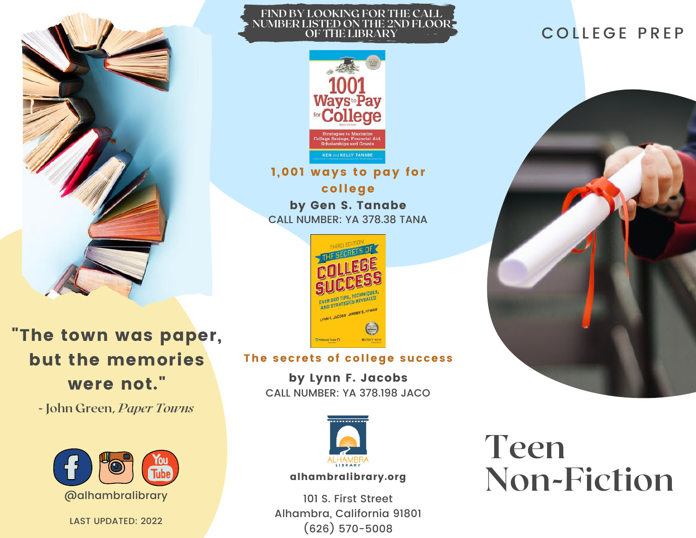

"The town was paper, but the memories were not."

**- John Green,** *Paper Towns*



LAST UPDATED: 2022

## **FIND BY LOOKING FOR THE CALL NUMBER LISTED ON THE 2ND FLOOR OF THE LIBRARY**



1,001 ways to pay for college by Gen S. Tanabe CALL NUMBER: YA 378.38 TANA



## The secrets of college success

by Lynn F. Jacobs CALL NUMBER: YA 378.198 JACO



## alhambralibrary.org

101 S. First Street Alhambra, California 91801 (626) 570-5008

# COLLEGE PREP



# **Teen Non-Fiction**